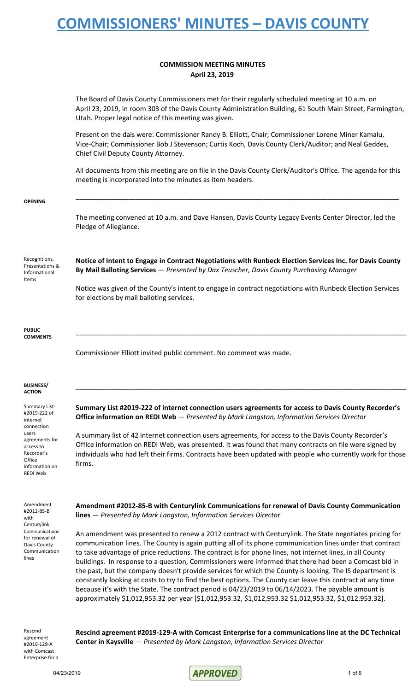### **COMMISSION MEETING MINUTES April 23, 2019**

|                                                                                                   | The Board of Davis County Commissioners met for their regularly scheduled meeting at 10 a.m. on<br>April 23, 2019, in room 303 of the Davis County Administration Building, 61 South Main Street, Farmington,<br>Utah. Proper legal notice of this meeting was given.                                                                                                                                                                                                                                                                                                                                                                                                                                                                                                                                                                                                                  |
|---------------------------------------------------------------------------------------------------|----------------------------------------------------------------------------------------------------------------------------------------------------------------------------------------------------------------------------------------------------------------------------------------------------------------------------------------------------------------------------------------------------------------------------------------------------------------------------------------------------------------------------------------------------------------------------------------------------------------------------------------------------------------------------------------------------------------------------------------------------------------------------------------------------------------------------------------------------------------------------------------|
|                                                                                                   | Present on the dais were: Commissioner Randy B. Elliott, Chair; Commissioner Lorene Miner Kamalu,<br>Vice-Chair; Commissioner Bob J Stevenson; Curtis Koch, Davis County Clerk/Auditor; and Neal Geddes,<br>Chief Civil Deputy County Attorney.<br>All documents from this meeting are on file in the Davis County Clerk/Auditor's Office. The agenda for this<br>meeting is incorporated into the minutes as item headers.                                                                                                                                                                                                                                                                                                                                                                                                                                                            |
|                                                                                                   |                                                                                                                                                                                                                                                                                                                                                                                                                                                                                                                                                                                                                                                                                                                                                                                                                                                                                        |
|                                                                                                   | The meeting convened at 10 a.m. and Dave Hansen, Davis County Legacy Events Center Director, led the<br>Pledge of Allegiance.                                                                                                                                                                                                                                                                                                                                                                                                                                                                                                                                                                                                                                                                                                                                                          |
| Recognitions,<br>Presentations &<br>Informational<br>Items                                        | Notice of Intent to Engage in Contract Negotiations with Runbeck Election Services Inc. for Davis County<br>By Mail Balloting Services - Presented by Dax Teuscher, Davis County Purchasing Manager                                                                                                                                                                                                                                                                                                                                                                                                                                                                                                                                                                                                                                                                                    |
|                                                                                                   | Notice was given of the County's intent to engage in contract negotiations with Runbeck Election Services<br>for elections by mail balloting services.                                                                                                                                                                                                                                                                                                                                                                                                                                                                                                                                                                                                                                                                                                                                 |
| <b>PUBLIC</b><br><b>COMMENTS</b>                                                                  |                                                                                                                                                                                                                                                                                                                                                                                                                                                                                                                                                                                                                                                                                                                                                                                                                                                                                        |
|                                                                                                   | Commissioner Elliott invited public comment. No comment was made.                                                                                                                                                                                                                                                                                                                                                                                                                                                                                                                                                                                                                                                                                                                                                                                                                      |
| <b>BUSINESS/</b><br><b>ACTION</b>                                                                 |                                                                                                                                                                                                                                                                                                                                                                                                                                                                                                                                                                                                                                                                                                                                                                                                                                                                                        |
| <b>Summary List</b><br>#2019-222 of<br>internet<br>connection                                     | Summary List #2019-222 of internet connection users agreements for access to Davis County Recorder's<br>Office information on REDI Web - Presented by Mark Langston, Information Services Director                                                                                                                                                                                                                                                                                                                                                                                                                                                                                                                                                                                                                                                                                     |
| users<br>agreements for<br>access to<br>Recorder's<br>Office<br>information on<br><b>REDI Web</b> | A summary list of 42 internet connection users agreements, for access to the Davis County Recorder's<br>Office information on REDI Web, was presented. It was found that many contracts on file were signed by<br>individuals who had left their firms. Contracts have been updated with people who currently work for those<br>firms.                                                                                                                                                                                                                                                                                                                                                                                                                                                                                                                                                 |
| Amendment<br>#2012-85-B<br>with                                                                   | Amendment #2012-85-B with Centurylink Communications for renewal of Davis County Communication<br>lines - Presented by Mark Langston, Information Services Director                                                                                                                                                                                                                                                                                                                                                                                                                                                                                                                                                                                                                                                                                                                    |
| Centurylink<br>Communications<br>for renewal of<br>Davis County<br>Communication<br>lines         | An amendment was presented to renew a 2012 contract with Centurylink. The State negotiates pricing for<br>communication lines. The County is again putting all of its phone communication lines under that contract<br>to take advantage of price reductions. The contract is for phone lines, not internet lines, in all County<br>buildings. In response to a question, Commissioners were informed that there had been a Comcast bid in<br>the past, but the company doesn't provide services for which the County is looking. The IS department is<br>constantly looking at costs to try to find the best options. The County can leave this contract at any time<br>because it's with the State. The contract period is 04/23/2019 to 06/14/2023. The payable amount is<br>approximately \$1,012,953.32 per year [\$1,012,953.32, \$1,012,953.32 \$1,012,953.32, \$1,012,953.32]. |
| Rescind                                                                                           | Rescind agreement #2019-129-A with Comcast Enternrise for a communications line at the DC Technical                                                                                                                                                                                                                                                                                                                                                                                                                                                                                                                                                                                                                                                                                                                                                                                    |

agreement #2019-129-A with Comcast Enterprise for a

**Rescind agreement #2019-129-A with Comcast Enterprise for a communications line at the DC Technical Center in Kaysville** — *Presented by Mark Langston, Information Services Director*

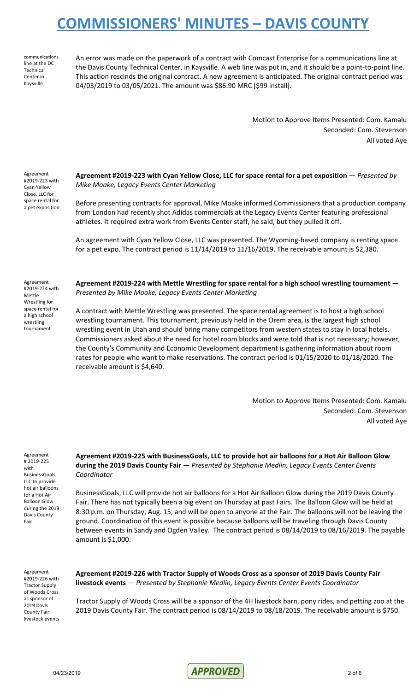communications line at the DC **Technical** Center in Kaysville

An error was made on the paperwork of a contract with Comcast Enterprise for a communications line at the Davis County Technical Center, in Kaysville. A web line was put in, and it should be a point-to-point line. This action rescinds the original contract. A new agreement is anticipated. The original contract period was 04/03/2019 to 03/05/2021. The amount was \$86.90 MRC [\$99 install].

> Motion to Approve Items Presented: Com. Kamalu Seconded: Com. Stevenson All voted Aye

Agreement #2019-223 with Cyan Yellow Close, LLC for space rental for a pet exposition

**Agreement #2019-223 with Cyan Yellow Close, LLC for space rental for a pet exposition** — *Presented by Mike Moake, Legacy Events Center Marketing*

Before presenting contracts for approval, Mike Moake informed Commissioners that a production company from London had recently shot Adidas commercials at the Legacy Events Center featuring professional athletes. It required extra work from Events Center staff, he said, but they pulled it off.

An agreement with Cyan Yellow Close, LLC was presented. The Wyoming-based company is renting space for a pet expo. The contract period is 11/14/2019 to 11/16/2019. The receivable amount is \$2,380.

Agreement #2019-224 with Mettle Wrestling for space rental for a high school wrestling tournament

**Agreement #2019-224 with Mettle Wrestling for space rental for a high school wrestling tournament** — *Presented by Mike Moake, Legacy Events Center Marketing*

A contract with Mettle Wrestling was presented. The space rental agreement is to host a high school wrestling tournament. This tournament, previously held in the Orem area, is the largest high school wrestling event in Utah and should bring many competitors from western states to stay in local hotels. Commissioners asked about the need for hotel room blocks and were told that is not necessary; however, the County's Community and Economic Development department is gathering information about room rates for people who want to make reservations. The contract period is 01/15/2020 to 01/18/2020. The receivable amount is \$4,640.

> Motion to Approve Items Presented: Com. Kamalu Seconded: Com. Stevenson All voted Aye

Agreement # 2019-225 with BusinessGoals, LLC to provide hot air balloons for a Hot Air Balloon Glow during the 2019 Davis County Fair

**Agreement #2019-225 with BusinessGoals, LLC to provide hot air balloons for a Hot Air Balloon Glow during the 2019 Davis County Fair** — *Presented by Stephanie Medlin, Legacy Events Center Events Coordinator*

BusinessGoals, LLC will provide hot air balloons for a Hot Air Balloon Glow during the 2019 Davis County Fair. There has not typically been a big event on Thursday at past Fairs. The Balloon Glow will be held at 8:30 p.m. on Thursday, Aug. 15, and will be open to anyone at the Fair. The balloons will not be leaving the ground. Coordination of this event is possible because balloons will be traveling through Davis County between events in Sandy and Ogden Valley. The contract period is 08/14/2019 to 08/16/2019. The payable amount is \$1,000.

Agreement #2019-226 with Tractor Supply of Woods Cross as sponsor of 2019 Davis County Fair livestock events **Agreement #2019-226 with Tractor Supply of Woods Cross as a sponsor of 2019 Davis County Fair livestock events** — *Presented by Stephanie Medlin, Legacy Events Center Events Coordinator*

Tractor Supply of Woods Cross will be a sponsor of the 4H livestock barn, pony rides, and petting zoo at the 2019 Davis County Fair. The contract period is 08/14/2019 to 08/18/2019. The receivable amount is \$750.

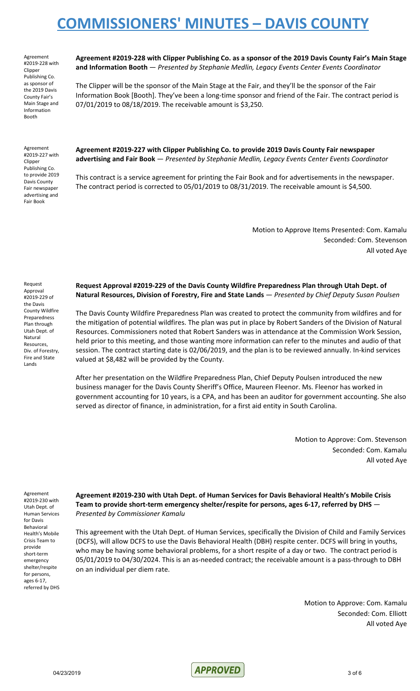Agreement #2019-228 with Clipper Publishing Co. as sponsor of the 2019 Davis County Fair's Main Stage and Information Booth

**Agreement #2019-228 with Clipper Publishing Co. as a sponsor of the 2019 Davis County Fair's Main Stage and Information Booth** — *Presented by Stephanie Medlin, Legacy Events Center Events Coordinator*

The Clipper will be the sponsor of the Main Stage at the Fair, and they'll be the sponsor of the Fair Information Book [Booth]. They've been a long-time sponsor and friend of the Fair. The contract period is 07/01/2019 to 08/18/2019. The receivable amount is \$3,250.

Agreement #2019-227 with Clipper Publishing Co. to provide 2019 Davis County Fair newspaper advertising and Fair Book

**Agreement #2019-227 with Clipper Publishing Co. to provide 2019 Davis County Fair newspaper advertising and Fair Book** — *Presented by Stephanie Medlin, Legacy Events Center Events Coordinator*

This contract is a service agreement for printing the Fair Book and for advertisements in the newspaper. The contract period is corrected to 05/01/2019 to 08/31/2019. The receivable amount is \$4,500.

> Motion to Approve Items Presented: Com. Kamalu Seconded: Com. Stevenson All voted Aye

Request Approval #2019-229 of the Davis County Wildfire Preparedness Plan through Utah Dept. of Natural Resources, Div. of Forestry, Fire and State Lands

**Request Approval #2019-229 of the Davis County Wildfire Preparedness Plan through Utah Dept. of Natural Resources, Division of Forestry, Fire and State Lands** — *Presented by Chief Deputy Susan Poulsen*

The Davis County Wildfire Preparedness Plan was created to protect the community from wildfires and for the mitigation of potential wildfires. The plan was put in place by Robert Sanders of the Division of Natural Resources. Commissioners noted that Robert Sanders was in attendance at the Commission Work Session, held prior to this meeting, and those wanting more information can refer to the minutes and audio of that session. The contract starting date is 02/06/2019, and the plan is to be reviewed annually. In-kind services valued at \$8,482 will be provided by the County.

After her presentation on the Wildfire Preparedness Plan, Chief Deputy Poulsen introduced the new business manager for the Davis County Sheriff's Office, Maureen Fleenor. Ms. Fleenor has worked in government accounting for 10 years, is a CPA, and has been an auditor for government accounting. She also served as director of finance, in administration, for a first aid entity in South Carolina.

> Motion to Approve: Com. Stevenson Seconded: Com. Kamalu All voted Aye

Agreement #2019-230 with Utah Dept. of Human Services for Davis Behavioral Health's Mobile Crisis Team to provide short-term emergency shelter/respite for persons, ages 6-17, referred by DHS **Agreement #2019-230 with Utah Dept. of Human Services for Davis Behavioral Health's Mobile Crisis Team to provide short-term emergency shelter/respite for persons, ages 6-17, referred by DHS** — *Presented by Commissioner Kamalu*

This agreement with the Utah Dept. of Human Services, specifically the Division of Child and Family Services (DCFS), will allow DCFS to use the Davis Behavioral Health (DBH) respite center. DCFS will bring in youths, who may be having some behavioral problems, for a short respite of a day or two. The contract period is 05/01/2019 to 04/30/2024. This is an as-needed contract; the receivable amount is a pass-through to DBH on an individual per diem rate.

> Motion to Approve: Com. Kamalu Seconded: Com. Elliott All voted Aye

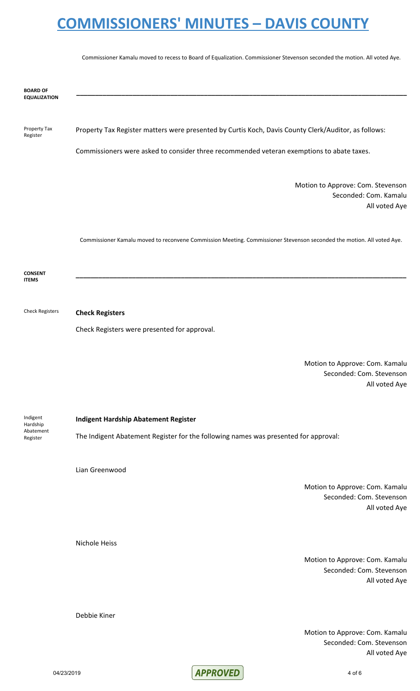Commissioner Kamalu moved to recess to Board of Equalization. Commissioner Stevenson seconded the motion. All voted Aye.

**\_\_\_\_\_\_\_\_\_\_\_\_\_\_\_\_\_\_\_\_\_\_\_\_\_\_\_\_\_\_\_\_\_\_\_\_\_\_\_\_\_\_\_\_\_\_\_\_\_\_\_\_\_\_\_\_\_\_\_\_\_\_\_\_\_\_\_\_\_\_\_\_\_\_\_\_\_\_\_\_\_\_\_\_\_\_\_\_**

**BOARD OF EQUALIZATION**

Property Tax Register

Property Tax Register matters were presented by Curtis Koch, Davis County Clerk/Auditor, as follows:

Commissioners were asked to consider three recommended veteran exemptions to abate taxes.

Motion to Approve: Com. Stevenson Seconded: Com. Kamalu All voted Aye

Commissioner Kamalu moved to reconvene Commission Meeting. Commissioner Stevenson seconded the motion. All voted Aye.

**\_\_\_\_\_\_\_\_\_\_\_\_\_\_\_\_\_\_\_\_\_\_\_\_\_\_\_\_\_\_\_\_\_\_\_\_\_\_\_\_\_\_\_\_\_\_\_\_\_\_\_\_\_\_\_\_\_\_\_\_\_\_\_\_\_\_\_\_\_\_\_\_\_\_\_\_\_\_\_\_\_\_\_\_\_\_\_\_**

**CONSENT ITEMS**

Check Registers **Check Registers**

Check Registers were presented for approval.

Motion to Approve: Com. Kamalu Seconded: Com. Stevenson All voted Aye

Indigent Hardship Abatement Register

**Indigent Hardship Abatement Register**

The Indigent Abatement Register for the following names was presented for approval:

Lian Greenwood

Motion to Approve: Com. Kamalu Seconded: Com. Stevenson All voted Aye

Nichole Heiss

Debbie Kiner

Motion to Approve: Com. Kamalu Seconded: Com. Stevenson All voted Aye

Motion to Approve: Com. Kamalu Seconded: Com. Stevenson All voted Aye



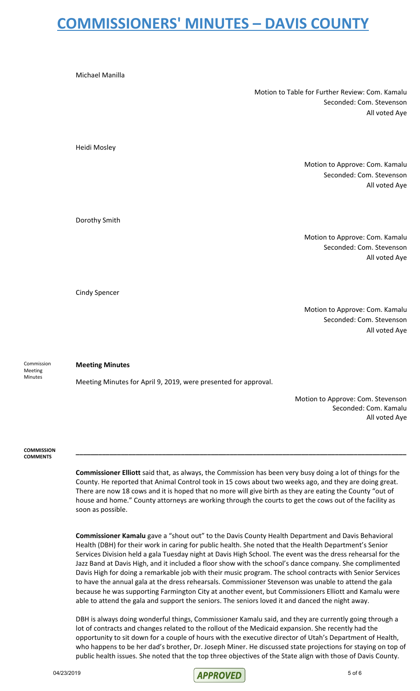Motion to Table for Further Review: Com. Kamalu Seconded: Com. Stevenson All voted Aye

Motion to Approve: Com. Kamalu Seconded: Com. Stevenson All voted Aye

Motion to Approve: Com. Kamalu Seconded: Com. Stevenson All voted Aye

Cindy Spencer

Dorothy Smith

Michael Manilla

Heidi Mosley

Motion to Approve: Com. Kamalu Seconded: Com. Stevenson All voted Aye

Commission Meeting Minutes

#### **Meeting Minutes**

Meeting Minutes for April 9, 2019, were presented for approval.

Motion to Approve: Com. Stevenson Seconded: Com. Kamalu All voted Aye

**COMMISSION COMMENTS**

> **Commissioner Elliott** said that, as always, the Commission has been very busy doing a lot of things for the County. He reported that Animal Control took in 15 cows about two weeks ago, and they are doing great. There are now 18 cows and it is hoped that no more will give birth as they are eating the County "out of house and home." County attorneys are working through the courts to get the cows out of the facility as soon as possible.

**\_\_\_\_\_\_\_\_\_\_\_\_\_\_\_\_\_\_\_\_\_\_\_\_\_\_\_\_\_\_\_\_\_\_\_\_\_\_\_\_\_\_\_\_\_\_\_\_\_\_\_\_\_\_\_\_\_\_\_\_\_\_\_\_\_\_\_\_\_\_\_\_\_\_\_\_\_\_\_\_\_\_\_\_\_\_\_\_**

**Commissioner Kamalu** gave a "shout out" to the Davis County Health Department and Davis Behavioral Health (DBH) for their work in caring for public health. She noted that the Health Department's Senior Services Division held a gala Tuesday night at Davis High School. The event was the dress rehearsal for the Jazz Band at Davis High, and it included a floor show with the school's dance company. She complimented Davis High for doing a remarkable job with their music program. The school contracts with Senior Services to have the annual gala at the dress rehearsals. Commissioner Stevenson was unable to attend the gala because he was supporting Farmington City at another event, but Commissioners Elliott and Kamalu were able to attend the gala and support the seniors. The seniors loved it and danced the night away.

DBH is always doing wonderful things, Commissioner Kamalu said, and they are currently going through a lot of contracts and changes related to the rollout of the Medicaid expansion. She recently had the opportunity to sit down for a couple of hours with the executive director of Utah's Department of Health, who happens to be her dad's brother, Dr. Joseph Miner. He discussed state projections for staying on top of public health issues. She noted that the top three objectives of the State align with those of Davis County.